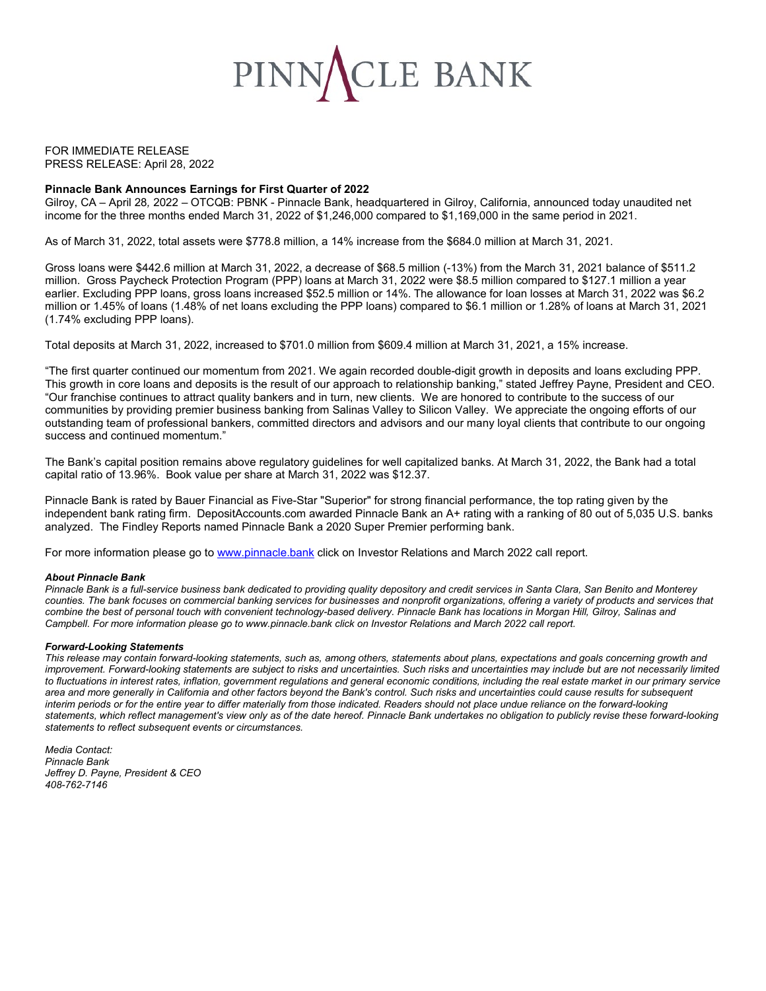

FOR IMMEDIATE RELEASE PRESS RELEASE: April 28, 2022

### **Pinnacle Bank Announces Earnings for First Quarter of 2022**

Gilroy, CA – April 28*,* 2022 – OTCQB: PBNK - Pinnacle Bank, headquartered in Gilroy, California, announced today unaudited net income for the three months ended March 31, 2022 of \$1,246,000 compared to \$1,169,000 in the same period in 2021.

As of March 31, 2022, total assets were \$778.8 million, a 14% increase from the \$684.0 million at March 31, 2021.

Gross loans were \$442.6 million at March 31, 2022, a decrease of \$68.5 million (-13%) from the March 31, 2021 balance of \$511.2 million. Gross Paycheck Protection Program (PPP) loans at March 31, 2022 were \$8.5 million compared to \$127.1 million a year earlier. Excluding PPP loans, gross loans increased \$52.5 million or 14%. The allowance for loan losses at March 31, 2022 was \$6.2 million or 1.45% of loans (1.48% of net loans excluding the PPP loans) compared to \$6.1 million or 1.28% of loans at March 31, 2021 (1.74% excluding PPP loans).

Total deposits at March 31, 2022, increased to \$701.0 million from \$609.4 million at March 31, 2021, a 15% increase.

"The first quarter continued our momentum from 2021. We again recorded double-digit growth in deposits and loans excluding PPP. This growth in core loans and deposits is the result of our approach to relationship banking," stated Jeffrey Payne, President and CEO. "Our franchise continues to attract quality bankers and in turn, new clients. We are honored to contribute to the success of our communities by providing premier business banking from Salinas Valley to Silicon Valley. We appreciate the ongoing efforts of our outstanding team of professional bankers, committed directors and advisors and our many loyal clients that contribute to our ongoing success and continued momentum."

The Bank's capital position remains above regulatory guidelines for well capitalized banks. At March 31, 2022, the Bank had a total capital ratio of 13.96%. Book value per share at March 31, 2022 was \$12.37.

Pinnacle Bank is rated by Bauer Financial as Five-Star "Superior" for strong financial performance, the top rating given by the independent bank rating firm. DepositAccounts.com awarded Pinnacle Bank an A+ rating with a ranking of 80 out of 5,035 U.S. banks analyzed. The Findley Reports named Pinnacle Bank a 2020 Super Premier performing bank.

For more information please go to www.pinnacle.bank click on Investor Relations and March 2022 call report.

#### *About Pinnacle Bank*

*Pinnacle Bank is a full-service business bank dedicated to providing quality depository and credit services in Santa Clara, San Benito and Monterey counties. The bank focuses on commercial banking services for businesses and nonprofit organizations, offering a variety of products and services that combine the best of personal touch with convenient technology-based delivery. Pinnacle Bank has locations in Morgan Hill, Gilroy, Salinas and Campbell. For more information please go to www.pinnacle.bank click on Investor Relations and March 2022 call report.*

#### *Forward-Looking Statements*

*This release may contain forward-looking statements, such as, among others, statements about plans, expectations and goals concerning growth and improvement. Forward-looking statements are subject to risks and uncertainties. Such risks and uncertainties may include but are not necessarily limited to fluctuations in interest rates, inflation, government regulations and general economic conditions, including the real estate market in our primary service area and more generally in California and other factors beyond the Bank's control. Such risks and uncertainties could cause results for subsequent interim periods or for the entire year to differ materially from those indicated. Readers should not place undue reliance on the forward-looking statements, which reflect management's view only as of the date hereof. Pinnacle Bank undertakes no obligation to publicly revise these forward-looking statements to reflect subsequent events or circumstances.*

*Media Contact: Pinnacle Bank Jeffrey D. Payne, President & CEO 408-762-7146*